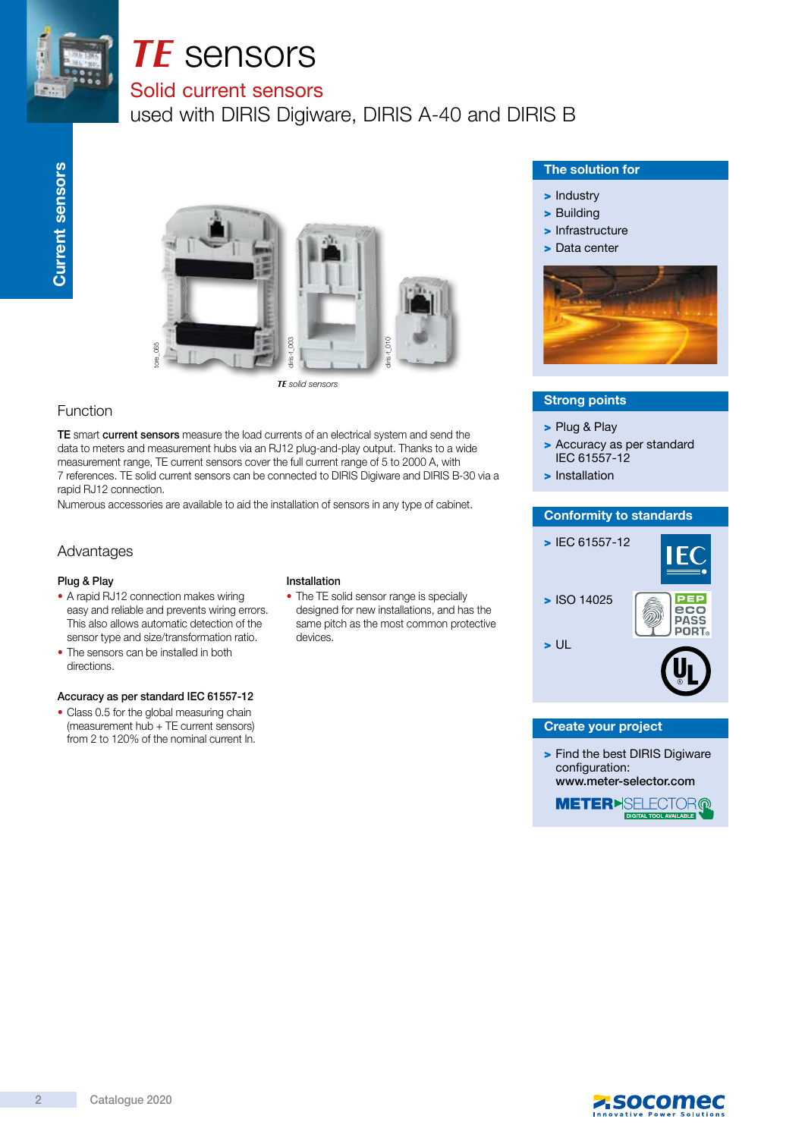

# *TE* sensors

### Solid current sensors

used with DIRIS Digiware, DIRIS A-40 and DIRIS B



*TE* solid sensors

#### Function

TE smart current sensors measure the load currents of an electrical system and send the data to meters and measurement hubs via an RJ12 plug-and-play output. Thanks to a wide measurement range, TE current sensors cover the full current range of 5 to 2000 A, with 7 references. TE solid current sensors can be connected to DIRIS Digiware and DIRIS B-30 via a rapid RJ12 connection.

Numerous accessories are available to aid the installation of sensors in any type of cabinet.

#### Advantages

#### Plug & Play

- A rapid RJ12 connection makes wiring easy and reliable and prevents wiring errors. This also allows automatic detection of the sensor type and size/transformation ratio.
- The sensors can be installed in both directions.

#### Accuracy as per standard IEC 61557-12

• Class 0.5 for the global measuring chain (measurement hub + TE current sensors) from 2 to 120% of the nominal current In.

#### Installation

• The TE solid sensor range is specially designed for new installations, and has the same pitch as the most common protective devices.

#### The solution for

- > Industry
- > Building
- > Infrastructure
- > Data center



#### Strong points

- > Plug & Play
- > Accuracy as per standard IEC 61557-12
- > Installation

#### Conformity to standards



#### Create your project

> Find the best DIRIS Digiware configuration: www.meter-selector.com



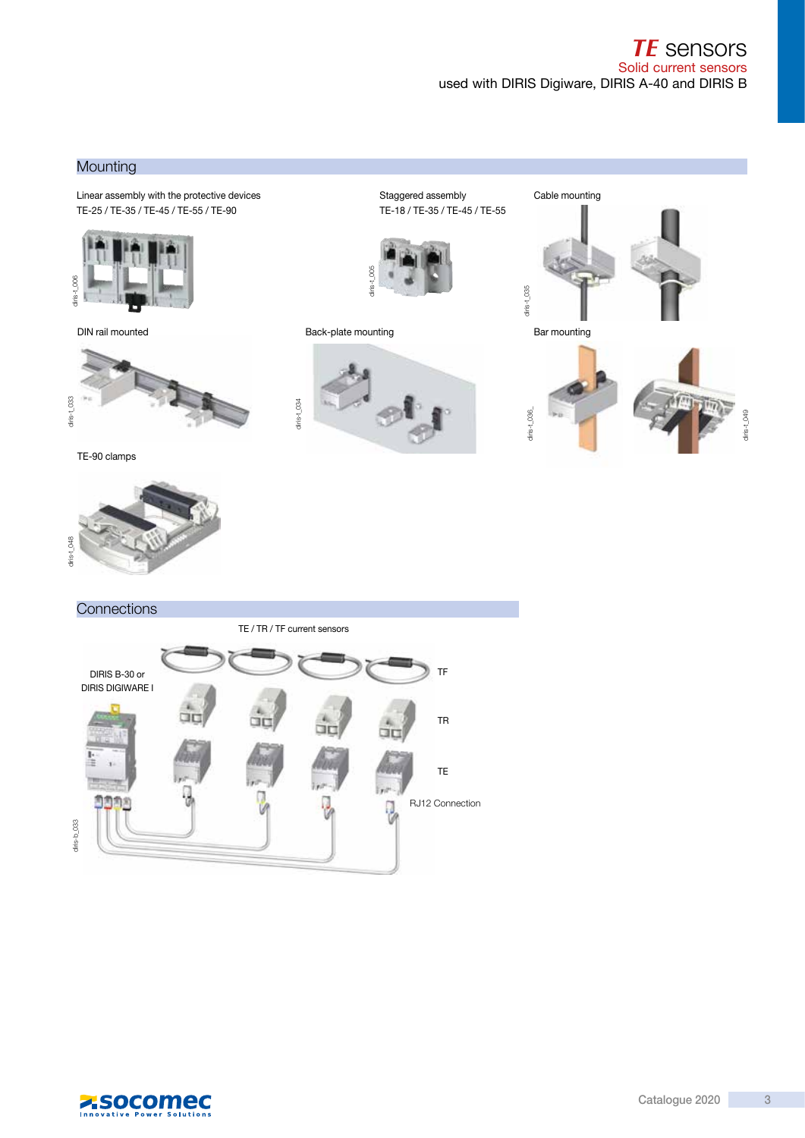#### **Mounting**

Linear assembly with the protective devices examples and the Staggered assembly cable mounting TE-25 / TE-35 / TE-45 / TE-55 / TE-90



DIN rail mounted



TE-90 clamps



Staggered assembly TE-18 / TE-35 / TE-45 / TE-55



Back-plate mounting



 $d$ iris-t\_035 diris-t\_035

Bar mounting



diris-t\_049

diris-t\_049

## **Connections** TE / TR / TF current sensors DIRIS B-30 or TF DIRIS DIGIWARE I TR TE RJ12 Connection  $diris-b_033$ diris-b\_033

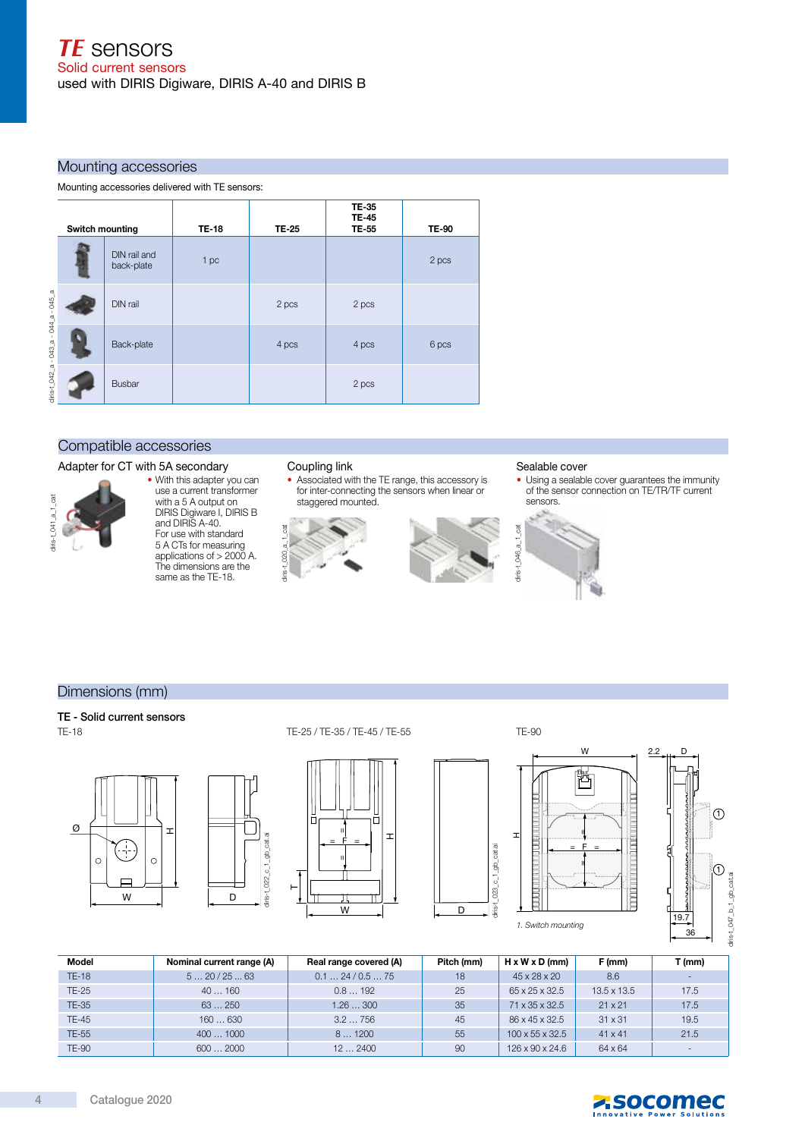#### Mounting accessories

Mounting accessories delivered with TE sensors:

| Switch mounting |  |                            | <b>TE-18</b> | TE-25 | <b>TE-35</b><br><b>TE-45</b><br>TE-55 | <b>TE-90</b> |
|-----------------|--|----------------------------|--------------|-------|---------------------------------------|--------------|
|                 |  | DIN rail and<br>back-plate | 1 pc         |       |                                       | 2 pcs        |
|                 |  | DIN rail                   |              | 2 pcs | 2 pcs                                 |              |
|                 |  | Back-plate                 |              | 4 pcs | 4 pcs                                 | 6 pcs        |
|                 |  | <b>Busbar</b>              |              |       | 2 pcs                                 |              |

#### Compatible accessories

#### Adapter for CT with 5A secondary



#### • With this adapter you can use a current transformer with a 5 A output on DIRIS Digiware I, DIRIS B and DIRIS A-40. For use with standard 5 A CTs for measuring applications of > 2000 A. The dimensions are the same as the TE-18.

#### Coupling link

• Associated with the TE range, this accessory is for inter-connecting the sensors when linear or staggered mounted.



#### Sealable cover

• Using a sealable cover guarantees the immunity of the sensor connection on TE/TR/TF current sensors.



#### Dimensions (mm)

#### TE - Solid current sensors TE-18







 $\overline{\phantom{a}}$ 

 $\overline{\phantom{a}}$ 



diris-t\_023\_c\_1\_gb\_cat.ai

iris-t

\_023\_c\_1\_gb\_cat.ai



 $\odot$ 

 $\bigcap$ 

diris-t\_047\_b\_1\_ab\_cat.ai

diris-t\_047\_b\_1\_gb\_cat.ai

| Model        | Nominal current range (A) | Real range covered (A) | Pitch (mm) | $H \times W \times D$ (mm)  | F (mm)         | $T$ (mm)                 |
|--------------|---------------------------|------------------------|------------|-----------------------------|----------------|--------------------------|
| <b>TE-18</b> | 520/2563                  | 0.124/0.575            | 18         | 45 x 28 x 20                | 8.6            | $\overline{\phantom{0}}$ |
| TE-25        | 40160                     | 0.8192                 | 25         | 65 x 25 x 32.5              | 13.5 x 13.5    | 17.5                     |
| <b>TE-35</b> | 63250                     | 1.26300                | 35         | 71 x 35 x 32.5              | $21 \times 21$ | 17.5                     |
| TE-45        | 160630                    | 3.2756                 | 45         | 86 x 45 x 32.5              | $31 \times 31$ | 19.5                     |
| TE-55        | 4001000                   | 81200                  | 55         | $100 \times 55 \times 32.5$ | $41 \times 41$ | 21.5                     |
| <b>TE-90</b> | 6002000                   | 122400                 | 90         | 126 x 90 x 24.6             | 64 x 64        |                          |

W D

 $\mathbf{I}$ 

Г